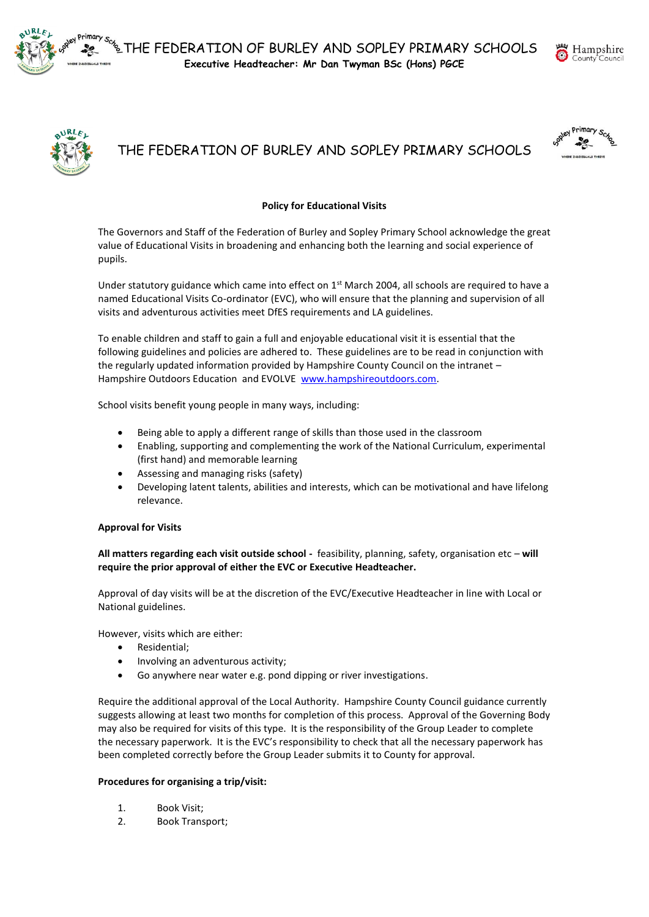



# THE FEDERATION OF BURLEY AND SOPLEY PRIMARY SCHOOLS

# **Policy for Educational Visits**

The Governors and Staff of the Federation of Burley and Sopley Primary School acknowledge the great value of Educational Visits in broadening and enhancing both the learning and social experience of pupils.

Under statutory guidance which came into effect on 1<sup>st</sup> March 2004, all schools are required to have a named Educational Visits Co-ordinator (EVC), who will ensure that the planning and supervision of all visits and adventurous activities meet DfES requirements and LA guidelines.

To enable children and staff to gain a full and enjoyable educational visit it is essential that the following guidelines and policies are adhered to. These guidelines are to be read in conjunction with the regularly updated information provided by Hampshire County Council on the intranet – Hampshire Outdoors Education and EVOLVE [www.hampshireoutdoors.com.](http://www.hampshireoutdoors.com/)

School visits benefit young people in many ways, including:

- Being able to apply a different range of skills than those used in the classroom
- Enabling, supporting and complementing the work of the National Curriculum, experimental (first hand) and memorable learning
- Assessing and managing risks (safety)
- Developing latent talents, abilities and interests, which can be motivational and have lifelong relevance.

# **Approval for Visits**

**All matters regarding each visit outside school -** feasibility, planning, safety, organisation etc – **will require the prior approval of either the EVC or Executive Headteacher.**

Approval of day visits will be at the discretion of the EVC/Executive Headteacher in line with Local or National guidelines.

However, visits which are either:

- Residential;
- Involving an adventurous activity;
- Go anywhere near water e.g. pond dipping or river investigations.

Require the additional approval of the Local Authority. Hampshire County Council guidance currently suggests allowing at least two months for completion of this process. Approval of the Governing Body may also be required for visits of this type. It is the responsibility of the Group Leader to complete the necessary paperwork. It is the EVC's responsibility to check that all the necessary paperwork has been completed correctly before the Group Leader submits it to County for approval.

# **Procedures for organising a trip/visit:**

- 1. Book Visit;
- 2. Book Transport;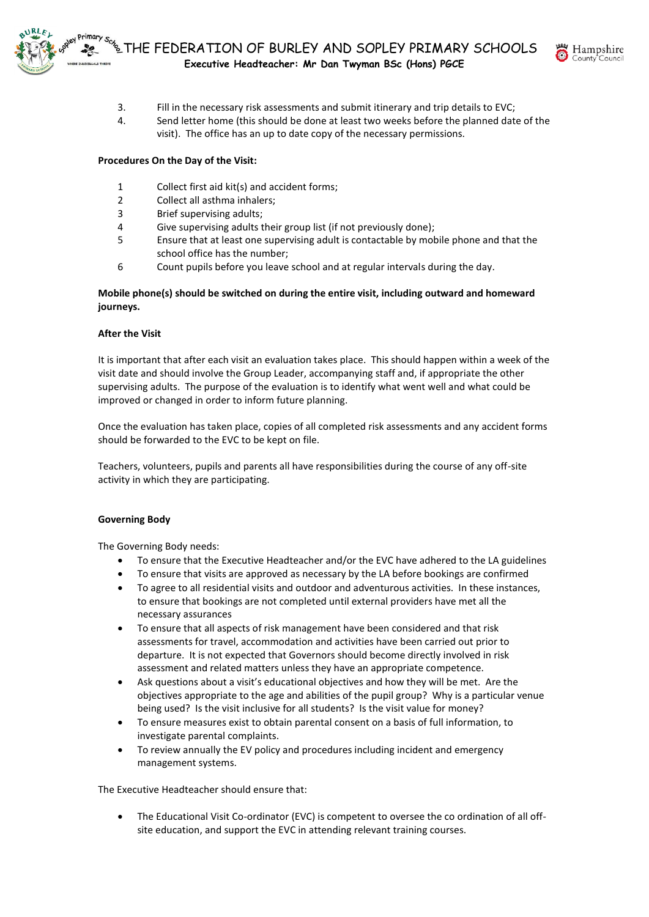

- 3. Fill in the necessary risk assessments and submit itinerary and trip details to EVC;
- 4. Send letter home (this should be done at least two weeks before the planned date of the visit). The office has an up to date copy of the necessary permissions.

# **Procedures On the Day of the Visit:**

- 1 Collect first aid kit(s) and accident forms;
- 2 Collect all asthma inhalers;
- 3 Brief supervising adults;
- 4 Give supervising adults their group list (if not previously done);
- 5 Ensure that at least one supervising adult is contactable by mobile phone and that the school office has the number;
- 6 Count pupils before you leave school and at regular intervals during the day.

# **Mobile phone(s) should be switched on during the entire visit, including outward and homeward journeys.**

# **After the Visit**

It is important that after each visit an evaluation takes place. This should happen within a week of the visit date and should involve the Group Leader, accompanying staff and, if appropriate the other supervising adults. The purpose of the evaluation is to identify what went well and what could be improved or changed in order to inform future planning.

Once the evaluation has taken place, copies of all completed risk assessments and any accident forms should be forwarded to the EVC to be kept on file.

Teachers, volunteers, pupils and parents all have responsibilities during the course of any off-site activity in which they are participating.

# **Governing Body**

The Governing Body needs:

- To ensure that the Executive Headteacher and/or the EVC have adhered to the LA guidelines
- To ensure that visits are approved as necessary by the LA before bookings are confirmed
- To agree to all residential visits and outdoor and adventurous activities. In these instances, to ensure that bookings are not completed until external providers have met all the necessary assurances
- To ensure that all aspects of risk management have been considered and that risk assessments for travel, accommodation and activities have been carried out prior to departure. It is not expected that Governors should become directly involved in risk assessment and related matters unless they have an appropriate competence.
- Ask questions about a visit's educational objectives and how they will be met. Are the objectives appropriate to the age and abilities of the pupil group? Why is a particular venue being used? Is the visit inclusive for all students? Is the visit value for money?
- To ensure measures exist to obtain parental consent on a basis of full information, to investigate parental complaints.
- To review annually the EV policy and procedures including incident and emergency management systems.

The Executive Headteacher should ensure that:

 The Educational Visit Co-ordinator (EVC) is competent to oversee the co ordination of all offsite education, and support the EVC in attending relevant training courses.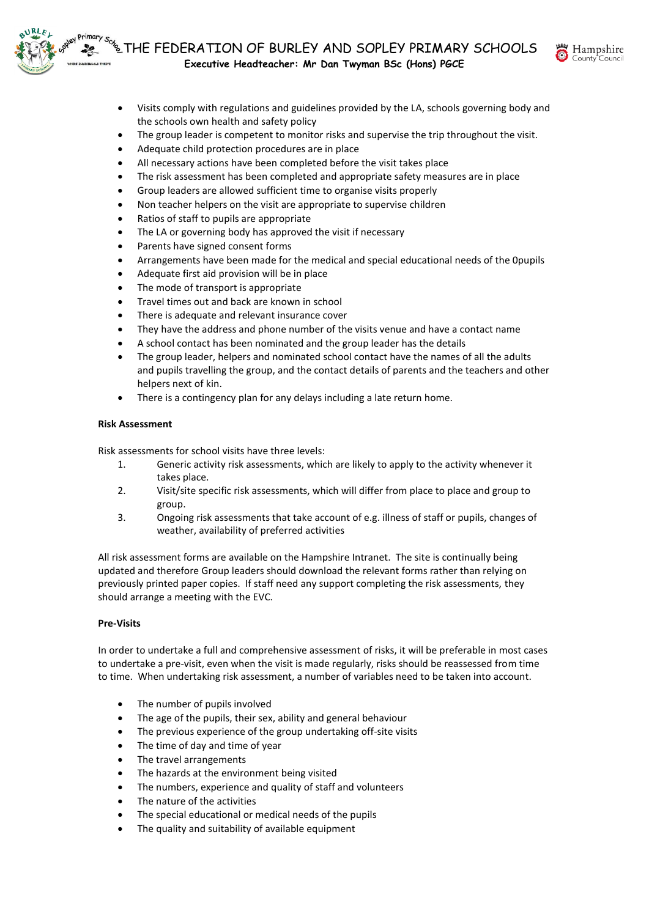



- Visits comply with regulations and guidelines provided by the LA, schools governing body and the schools own health and safety policy
- The group leader is competent to monitor risks and supervise the trip throughout the visit.
- Adequate child protection procedures are in place
- All necessary actions have been completed before the visit takes place
- The risk assessment has been completed and appropriate safety measures are in place
- Group leaders are allowed sufficient time to organise visits properly
- Non teacher helpers on the visit are appropriate to supervise children
- Ratios of staff to pupils are appropriate
- The LA or governing body has approved the visit if necessary
- Parents have signed consent forms
- Arrangements have been made for the medical and special educational needs of the 0pupils
- Adequate first aid provision will be in place
- The mode of transport is appropriate
- Travel times out and back are known in school
- There is adequate and relevant insurance cover
- They have the address and phone number of the visits venue and have a contact name
- A school contact has been nominated and the group leader has the details
- The group leader, helpers and nominated school contact have the names of all the adults and pupils travelling the group, and the contact details of parents and the teachers and other helpers next of kin.
- There is a contingency plan for any delays including a late return home.

### **Risk Assessment**

Risk assessments for school visits have three levels:

- 1. Generic activity risk assessments, which are likely to apply to the activity whenever it takes place.
- 2. Visit/site specific risk assessments, which will differ from place to place and group to group.
- 3. Ongoing risk assessments that take account of e.g. illness of staff or pupils, changes of weather, availability of preferred activities

All risk assessment forms are available on the Hampshire Intranet. The site is continually being updated and therefore Group leaders should download the relevant forms rather than relying on previously printed paper copies. If staff need any support completing the risk assessments, they should arrange a meeting with the EVC.

# **Pre-Visits**

In order to undertake a full and comprehensive assessment of risks, it will be preferable in most cases to undertake a pre-visit, even when the visit is made regularly, risks should be reassessed from time to time. When undertaking risk assessment, a number of variables need to be taken into account.

- The number of pupils involved
- The age of the pupils, their sex, ability and general behaviour
- The previous experience of the group undertaking off-site visits
- The time of day and time of year
- The travel arrangements
- The hazards at the environment being visited
- The numbers, experience and quality of staff and volunteers
- The nature of the activities
- The special educational or medical needs of the pupils
- The quality and suitability of available equipment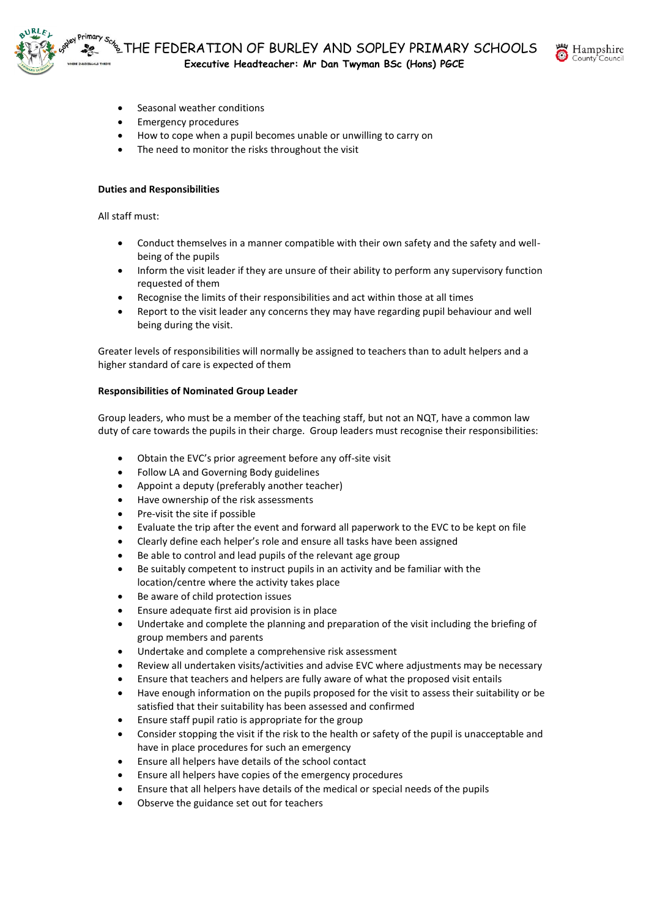



- Seasonal weather conditions
- Emergency procedures
- How to cope when a pupil becomes unable or unwilling to carry on
- The need to monitor the risks throughout the visit

# **Duties and Responsibilities**

All staff must:

- Conduct themselves in a manner compatible with their own safety and the safety and wellbeing of the pupils
- Inform the visit leader if they are unsure of their ability to perform any supervisory function requested of them
- Recognise the limits of their responsibilities and act within those at all times
- Report to the visit leader any concerns they may have regarding pupil behaviour and well being during the visit.

Greater levels of responsibilities will normally be assigned to teachers than to adult helpers and a higher standard of care is expected of them

# **Responsibilities of Nominated Group Leader**

Group leaders, who must be a member of the teaching staff, but not an NQT, have a common law duty of care towards the pupils in their charge. Group leaders must recognise their responsibilities:

- Obtain the EVC's prior agreement before any off-site visit
- Follow LA and Governing Body guidelines
- Appoint a deputy (preferably another teacher)
- Have ownership of the risk assessments
- Pre-visit the site if possible
- Evaluate the trip after the event and forward all paperwork to the EVC to be kept on file
- Clearly define each helper's role and ensure all tasks have been assigned
- Be able to control and lead pupils of the relevant age group
- Be suitably competent to instruct pupils in an activity and be familiar with the location/centre where the activity takes place
- Be aware of child protection issues
- Ensure adequate first aid provision is in place
- Undertake and complete the planning and preparation of the visit including the briefing of group members and parents
- Undertake and complete a comprehensive risk assessment
- Review all undertaken visits/activities and advise EVC where adjustments may be necessary
- Ensure that teachers and helpers are fully aware of what the proposed visit entails
- Have enough information on the pupils proposed for the visit to assess their suitability or be satisfied that their suitability has been assessed and confirmed
- Ensure staff pupil ratio is appropriate for the group
- Consider stopping the visit if the risk to the health or safety of the pupil is unacceptable and have in place procedures for such an emergency
- Ensure all helpers have details of the school contact
- Ensure all helpers have copies of the emergency procedures
- Ensure that all helpers have details of the medical or special needs of the pupils
- Observe the guidance set out for teachers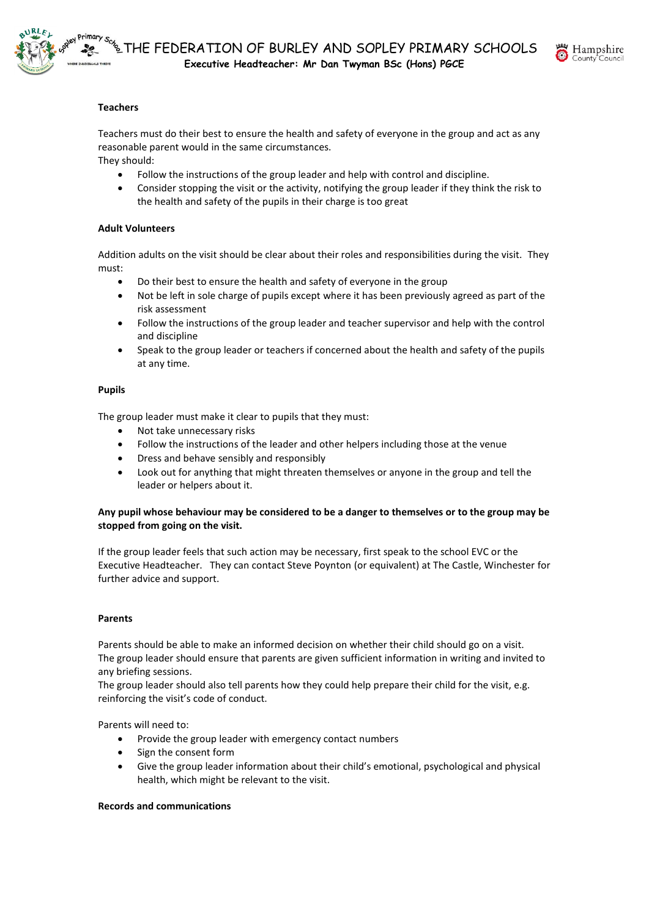



# **Teachers**

Teachers must do their best to ensure the health and safety of everyone in the group and act as any reasonable parent would in the same circumstances.

They should:

- Follow the instructions of the group leader and help with control and discipline.
- Consider stopping the visit or the activity, notifying the group leader if they think the risk to the health and safety of the pupils in their charge is too great

### **Adult Volunteers**

Addition adults on the visit should be clear about their roles and responsibilities during the visit. They must:

- Do their best to ensure the health and safety of everyone in the group
- Not be left in sole charge of pupils except where it has been previously agreed as part of the risk assessment
- Follow the instructions of the group leader and teacher supervisor and help with the control and discipline
- Speak to the group leader or teachers if concerned about the health and safety of the pupils at any time.

### **Pupils**

The group leader must make it clear to pupils that they must:

- Not take unnecessary risks
- Follow the instructions of the leader and other helpers including those at the venue
- Dress and behave sensibly and responsibly
- Look out for anything that might threaten themselves or anyone in the group and tell the leader or helpers about it.

### **Any pupil whose behaviour may be considered to be a danger to themselves or to the group may be stopped from going on the visit.**

If the group leader feels that such action may be necessary, first speak to the school EVC or the Executive Headteacher. They can contact Steve Poynton (or equivalent) at The Castle, Winchester for further advice and support.

#### **Parents**

Parents should be able to make an informed decision on whether their child should go on a visit. The group leader should ensure that parents are given sufficient information in writing and invited to any briefing sessions.

The group leader should also tell parents how they could help prepare their child for the visit, e.g. reinforcing the visit's code of conduct.

Parents will need to:

- Provide the group leader with emergency contact numbers
- Sign the consent form
- Give the group leader information about their child's emotional, psychological and physical health, which might be relevant to the visit.

#### **Records and communications**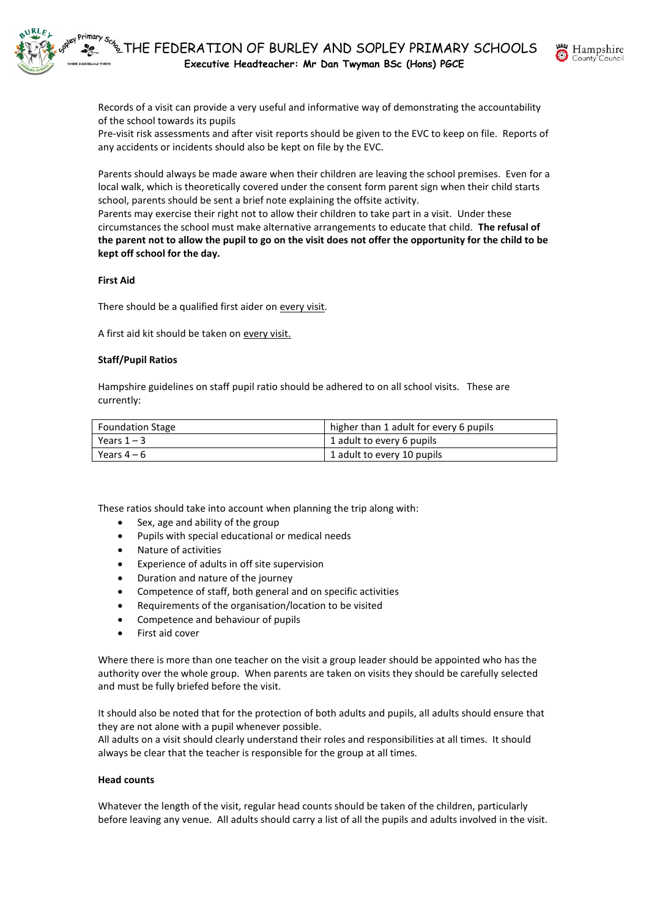

Records of a visit can provide a very useful and informative way of demonstrating the accountability of the school towards its pupils

Pre-visit risk assessments and after visit reports should be given to the EVC to keep on file. Reports of any accidents or incidents should also be kept on file by the EVC.

Parents should always be made aware when their children are leaving the school premises. Even for a local walk, which is theoretically covered under the consent form parent sign when their child starts school, parents should be sent a brief note explaining the offsite activity.

Parents may exercise their right not to allow their children to take part in a visit. Under these circumstances the school must make alternative arrangements to educate that child. **The refusal of the parent not to allow the pupil to go on the visit does not offer the opportunity for the child to be kept off school for the day.**

### **First Aid**

There should be a qualified first aider on every visit.

A first aid kit should be taken on every visit.

# **Staff/Pupil Ratios**

Hampshire guidelines on staff pupil ratio should be adhered to on all school visits. These are currently:

| <b>Foundation Stage</b> | higher than 1 adult for every 6 pupils |
|-------------------------|----------------------------------------|
| Years $1 - 3$           | 1 adult to every 6 pupils              |
| Years 4 – 6             | 1 adult to every 10 pupils             |

These ratios should take into account when planning the trip along with:

- Sex, age and ability of the group
- Pupils with special educational or medical needs
- Nature of activities
- Experience of adults in off site supervision
- Duration and nature of the journey
- Competence of staff, both general and on specific activities
- Requirements of the organisation/location to be visited
- Competence and behaviour of pupils
- First aid cover

Where there is more than one teacher on the visit a group leader should be appointed who has the authority over the whole group. When parents are taken on visits they should be carefully selected and must be fully briefed before the visit.

It should also be noted that for the protection of both adults and pupils, all adults should ensure that they are not alone with a pupil whenever possible.

All adults on a visit should clearly understand their roles and responsibilities at all times. It should always be clear that the teacher is responsible for the group at all times.

#### **Head counts**

Whatever the length of the visit, regular head counts should be taken of the children, particularly before leaving any venue. All adults should carry a list of all the pupils and adults involved in the visit.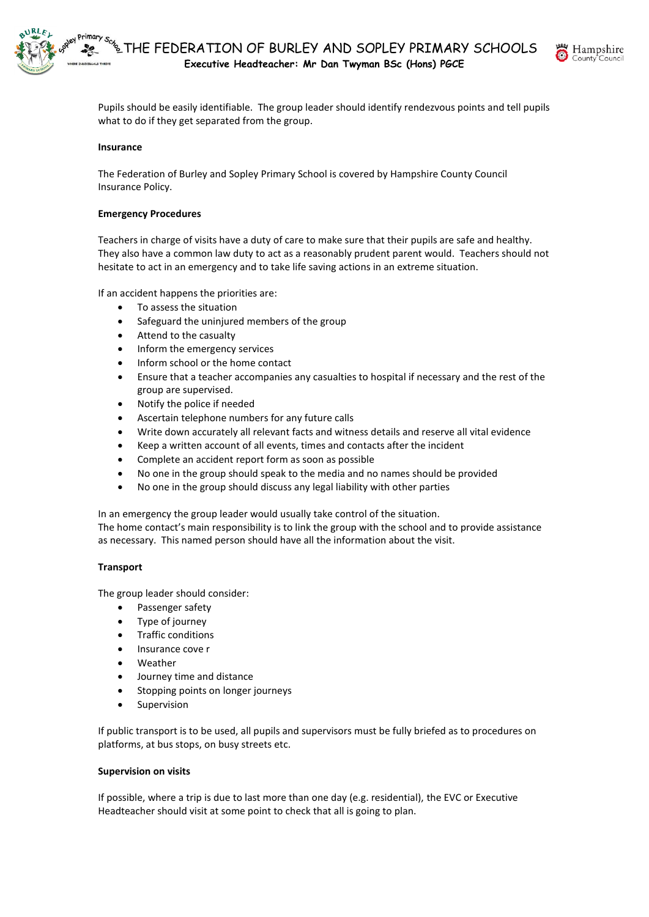



Pupils should be easily identifiable. The group leader should identify rendezvous points and tell pupils what to do if they get separated from the group.

### **Insurance**

The Federation of Burley and Sopley Primary School is covered by Hampshire County Council Insurance Policy.

#### **Emergency Procedures**

Teachers in charge of visits have a duty of care to make sure that their pupils are safe and healthy. They also have a common law duty to act as a reasonably prudent parent would. Teachers should not hesitate to act in an emergency and to take life saving actions in an extreme situation.

If an accident happens the priorities are:

- To assess the situation
- Safeguard the uninjured members of the group
- Attend to the casualty
- Inform the emergency services
- Inform school or the home contact
- Ensure that a teacher accompanies any casualties to hospital if necessary and the rest of the group are supervised.
- Notify the police if needed
- Ascertain telephone numbers for any future calls
- Write down accurately all relevant facts and witness details and reserve all vital evidence
- Keep a written account of all events, times and contacts after the incident
- Complete an accident report form as soon as possible
- No one in the group should speak to the media and no names should be provided
- No one in the group should discuss any legal liability with other parties

In an emergency the group leader would usually take control of the situation.

The home contact's main responsibility is to link the group with the school and to provide assistance as necessary. This named person should have all the information about the visit.

#### **Transport**

The group leader should consider:

- Passenger safety
- Type of journey
- Traffic conditions
- Insurance cove r
- Weather
- Journey time and distance
- Stopping points on longer journeys
- Supervision

If public transport is to be used, all pupils and supervisors must be fully briefed as to procedures on platforms, at bus stops, on busy streets etc.

#### **Supervision on visits**

If possible, where a trip is due to last more than one day (e.g. residential), the EVC or Executive Headteacher should visit at some point to check that all is going to plan.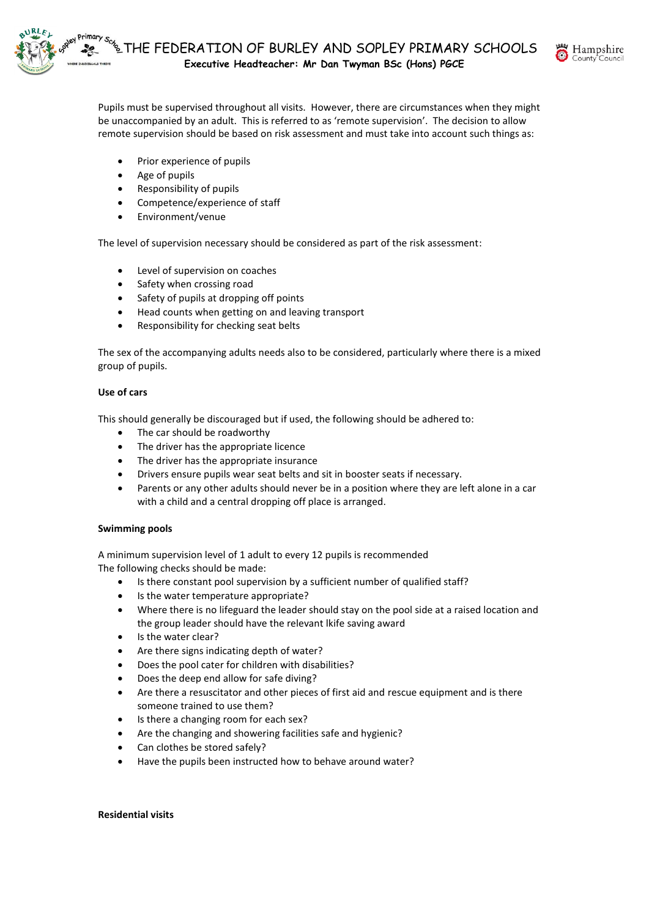

Pupils must be supervised throughout all visits. However, there are circumstances when they might be unaccompanied by an adult. This is referred to as 'remote supervision'. The decision to allow remote supervision should be based on risk assessment and must take into account such things as:

- Prior experience of pupils
- Age of pupils
- Responsibility of pupils
- Competence/experience of staff
- Environment/venue

The level of supervision necessary should be considered as part of the risk assessment:

- Level of supervision on coaches
- Safety when crossing road
- Safety of pupils at dropping off points
- Head counts when getting on and leaving transport
- Responsibility for checking seat belts

The sex of the accompanying adults needs also to be considered, particularly where there is a mixed group of pupils.

# **Use of cars**

This should generally be discouraged but if used, the following should be adhered to:

- The car should be roadworthy
- The driver has the appropriate licence
- The driver has the appropriate insurance
- Drivers ensure pupils wear seat belts and sit in booster seats if necessary.
- Parents or any other adults should never be in a position where they are left alone in a car with a child and a central dropping off place is arranged.

# **Swimming pools**

A minimum supervision level of 1 adult to every 12 pupils is recommended The following checks should be made:

- Is there constant pool supervision by a sufficient number of qualified staff?
- Is the water temperature appropriate?
- Where there is no lifeguard the leader should stay on the pool side at a raised location and the group leader should have the relevant lkife saving award
- Is the water clear?
- Are there signs indicating depth of water?
- Does the pool cater for children with disabilities?
- Does the deep end allow for safe diving?
- Are there a resuscitator and other pieces of first aid and rescue equipment and is there someone trained to use them?
- Is there a changing room for each sex?
- Are the changing and showering facilities safe and hygienic?
- Can clothes be stored safely?
- Have the pupils been instructed how to behave around water?

#### **Residential visits**